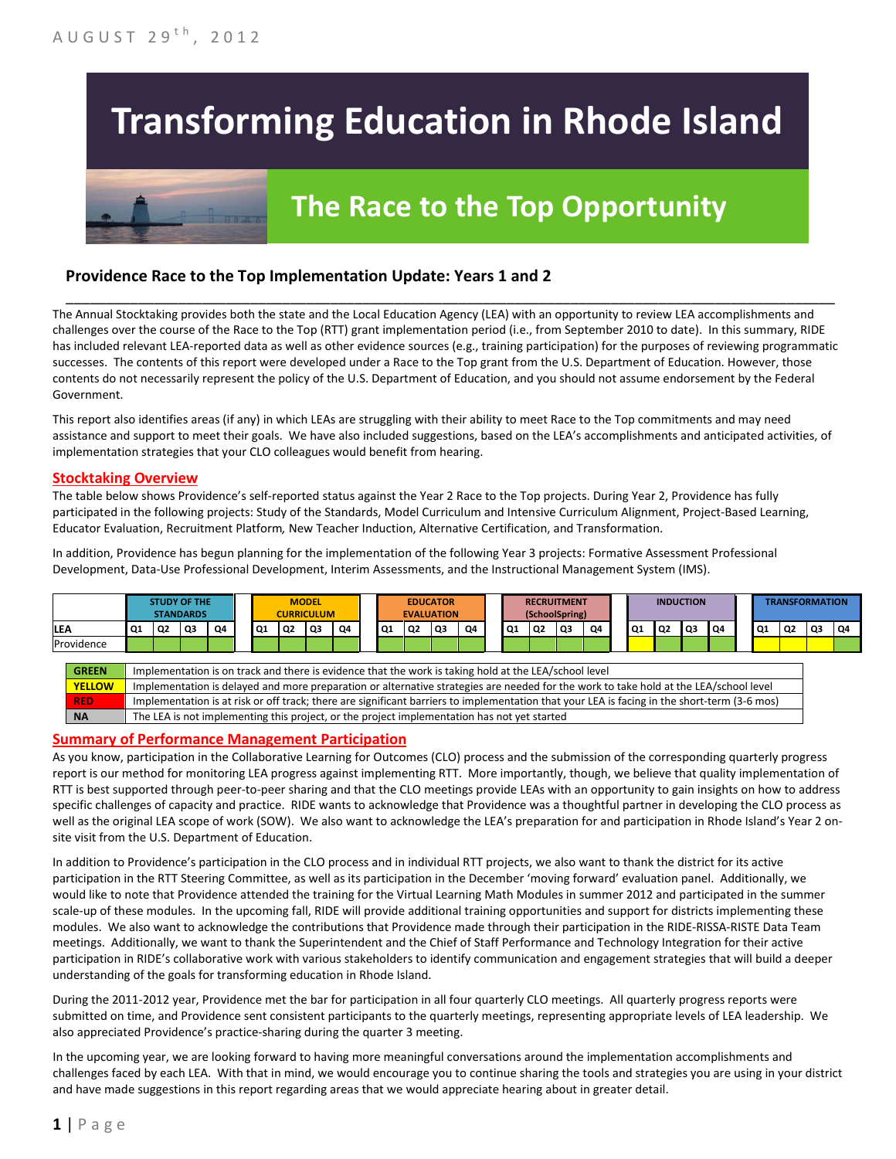# **Transforming Education in Rhode Island**



# **The Race to the Top Opportunity**

# **Providence Race to the Top Implementation Update: Years 1 and 2**

The Annual Stocktaking provides both the state and the Local Education Agency (LEA) with an opportunity to review LEA accomplishments and challenges over the course of the Race to the Top (RTT) grant implementation period (i.e., from September 2010 to date). In this summary, RIDE has included relevant LEA-reported data as well as other evidence sources (e.g., training participation) for the purposes of reviewing programmatic successes. The contents of this report were developed under a Race to the Top grant from the U.S. Department of Education. However, those contents do not necessarily represent the policy of the U.S. Department of Education, and you should not assume endorsement by the Federal Government.

\_\_\_\_\_\_\_\_\_\_\_\_\_\_\_\_\_\_\_\_\_\_\_\_\_\_\_\_\_\_\_\_\_\_\_\_\_\_\_\_\_\_\_\_\_\_\_\_\_\_\_\_\_\_\_\_\_\_\_\_\_\_\_\_\_\_\_\_\_\_\_\_\_\_\_\_\_\_\_\_\_\_\_\_\_\_\_\_\_\_\_\_\_\_\_\_

This report also identifies areas (if any) in which LEAs are struggling with their ability to meet Race to the Top commitments and may need assistance and support to meet their goals. We have also included suggestions, based on the LEA's accomplishments and anticipated activities, of implementation strategies that your CLO colleagues would benefit from hearing.

#### **Stocktaking Overview**

The table below shows Providence's self-reported status against the Year 2 Race to the Top projects. During Year 2, Providence has fully participated in the following projects: Study of the Standards, Model Curriculum and Intensive Curriculum Alignment, Project-Based Learning, Educator Evaluation, Recruitment Platform*,* New Teacher Induction, Alternative Certification, and Transformation.

In addition, Providence has begun planning for the implementation of the following Year 3 projects: Formative Assessment Professional Development, Data-Use Professional Development, Interim Assessments, and the Instructional Management System (IMS).



#### **Summary of Performance Management Participation**

As you know, participation in the Collaborative Learning for Outcomes (CLO) process and the submission of the corresponding quarterly progress report is our method for monitoring LEA progress against implementing RTT. More importantly, though, we believe that quality implementation of RTT is best supported through peer-to-peer sharing and that the CLO meetings provide LEAs with an opportunity to gain insights on how to address specific challenges of capacity and practice. RIDE wants to acknowledge that Providence was a thoughtful partner in developing the CLO process as well as the original LEA scope of work (SOW). We also want to acknowledge the LEA's preparation for and participation in Rhode Island's Year 2 onsite visit from the U.S. Department of Education.

In addition to Providence's participation in the CLO process and in individual RTT projects, we also want to thank the district for its active participation in the RTT Steering Committee, as well as its participation in the December 'moving forward' evaluation panel. Additionally, we would like to note that Providence attended the training for the Virtual Learning Math Modules in summer 2012 and participated in the summer scale-up of these modules. In the upcoming fall, RIDE will provide additional training opportunities and support for districts implementing these modules. We also want to acknowledge the contributions that Providence made through their participation in the RIDE-RISSA-RISTE Data Team meetings. Additionally, we want to thank the Superintendent and the Chief of Staff Performance and Technology Integration for their active participation in RIDE's collaborative work with various stakeholders to identify communication and engagement strategies that will build a deeper understanding of the goals for transforming education in Rhode Island.

During the 2011-2012 year, Providence met the bar for participation in all four quarterly CLO meetings. All quarterly progress reports were submitted on time, and Providence sent consistent participants to the quarterly meetings, representing appropriate levels of LEA leadership. We also appreciated Providence's practice-sharing during the quarter 3 meeting.

In the upcoming year, we are looking forward to having more meaningful conversations around the implementation accomplishments and challenges faced by each LEA. With that in mind, we would encourage you to continue sharing the tools and strategies you are using in your district and have made suggestions in this report regarding areas that we would appreciate hearing about in greater detail.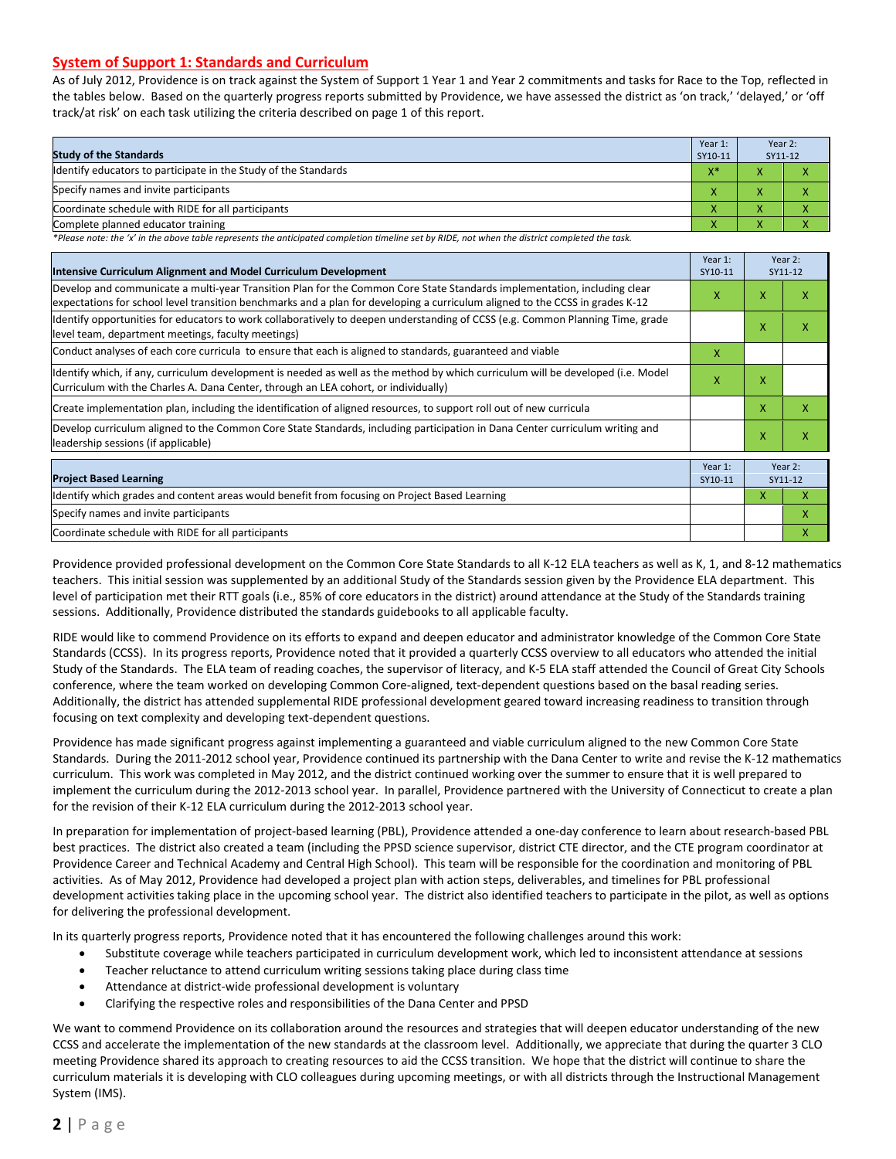#### **System of Support 1: Standards and Curriculum**

As of July 2012, Providence is on track against the System of Support 1 Year 1 and Year 2 commitments and tasks for Race to the Top, reflected in the tables below. Based on the quarterly progress reports submitted by Providence, we have assessed the district as 'on track,' 'delayed,' or 'off track/at risk' on each task utilizing the criteria described on page 1 of this report.

| <b>Study of the Standards</b>                                   | Year 1:<br>SY10-11    | Year 2:<br>SY11-12 |  |
|-----------------------------------------------------------------|-----------------------|--------------------|--|
| Identify educators to participate in the Study of the Standards | $V^*$<br>$\mathbf{v}$ |                    |  |
| Specify names and invite participants                           | $\overline{ }$        |                    |  |
| Coordinate schedule with RIDE for all participants              | $\overline{ }$        | ∧                  |  |
| Complete planned educator training                              | $\mathbf{\Lambda}$    | $\mathbf{\Lambda}$ |  |

*\*Please note: the 'x' in the above table represents the anticipated completion timeline set by RIDE, not when the district completed the task.*

| Intensive Curriculum Alignment and Model Curriculum Development                                                                                                                                                                                           | Year 1:<br>SY10-11 |   | Year 2:<br>SY11-12 |
|-----------------------------------------------------------------------------------------------------------------------------------------------------------------------------------------------------------------------------------------------------------|--------------------|---|--------------------|
| Develop and communicate a multi-year Transition Plan for the Common Core State Standards implementation, including clear<br>expectations for school level transition benchmarks and a plan for developing a curriculum aligned to the CCSS in grades K-12 | X                  | X | x                  |
| Identify opportunities for educators to work collaboratively to deepen understanding of CCSS (e.g. Common Planning Time, grade<br>level team, department meetings, faculty meetings)                                                                      |                    | X | X                  |
| Conduct analyses of each core curricula to ensure that each is aligned to standards, guaranteed and viable                                                                                                                                                | X                  |   |                    |
| ldentify which, if any, curriculum development is needed as well as the method by which curriculum will be developed (i.e. Model<br>Curriculum with the Charles A. Dana Center, through an LEA cohort, or individually)                                   | X                  | X |                    |
| Create implementation plan, including the identification of aligned resources, to support roll out of new curricula                                                                                                                                       |                    | X | X                  |
| Develop curriculum aligned to the Common Core State Standards, including participation in Dana Center curriculum writing and<br>leadership sessions (if applicable)                                                                                       |                    | X | X                  |
| <b>Project Based Learning</b>                                                                                                                                                                                                                             | Year 1:<br>SY10-11 |   | Year 2:<br>SY11-12 |
| Identify which grades and content areas would benefit from focusing on Project Based Learning                                                                                                                                                             |                    | X | $\mathsf{x}$       |
| Specify names and invite participants                                                                                                                                                                                                                     |                    |   | X                  |
| Coordinate schedule with RIDE for all participants                                                                                                                                                                                                        |                    |   | X                  |

Providence provided professional development on the Common Core State Standards to all K-12 ELA teachers as well as K, 1, and 8-12 mathematics teachers. This initial session was supplemented by an additional Study of the Standards session given by the Providence ELA department. This level of participation met their RTT goals (i.e., 85% of core educators in the district) around attendance at the Study of the Standards training sessions. Additionally, Providence distributed the standards guidebooks to all applicable faculty.

RIDE would like to commend Providence on its efforts to expand and deepen educator and administrator knowledge of the Common Core State Standards (CCSS). In its progress reports, Providence noted that it provided a quarterly CCSS overview to all educators who attended the initial Study of the Standards. The ELA team of reading coaches, the supervisor of literacy, and K-5 ELA staff attended the Council of Great City Schools conference, where the team worked on developing Common Core-aligned, text-dependent questions based on the basal reading series. Additionally, the district has attended supplemental RIDE professional development geared toward increasing readiness to transition through focusing on text complexity and developing text-dependent questions.

Providence has made significant progress against implementing a guaranteed and viable curriculum aligned to the new Common Core State Standards. During the 2011-2012 school year, Providence continued its partnership with the Dana Center to write and revise the K-12 mathematics curriculum. This work was completed in May 2012, and the district continued working over the summer to ensure that it is well prepared to implement the curriculum during the 2012-2013 school year. In parallel, Providence partnered with the University of Connecticut to create a plan for the revision of their K-12 ELA curriculum during the 2012-2013 school year.

In preparation for implementation of project-based learning (PBL), Providence attended a one-day conference to learn about research-based PBL best practices. The district also created a team (including the PPSD science supervisor, district CTE director, and the CTE program coordinator at Providence Career and Technical Academy and Central High School). This team will be responsible for the coordination and monitoring of PBL activities. As of May 2012, Providence had developed a project plan with action steps, deliverables, and timelines for PBL professional development activities taking place in the upcoming school year. The district also identified teachers to participate in the pilot, as well as options for delivering the professional development.

In its quarterly progress reports, Providence noted that it has encountered the following challenges around this work:

- Substitute coverage while teachers participated in curriculum development work, which led to inconsistent attendance at sessions
- Teacher reluctance to attend curriculum writing sessions taking place during class time
- Attendance at district-wide professional development is voluntary
- Clarifying the respective roles and responsibilities of the Dana Center and PPSD

We want to commend Providence on its collaboration around the resources and strategies that will deepen educator understanding of the new CCSS and accelerate the implementation of the new standards at the classroom level. Additionally, we appreciate that during the quarter 3 CLO meeting Providence shared its approach to creating resources to aid the CCSS transition. We hope that the district will continue to share the curriculum materials it is developing with CLO colleagues during upcoming meetings, or with all districts through the Instructional Management System (IMS).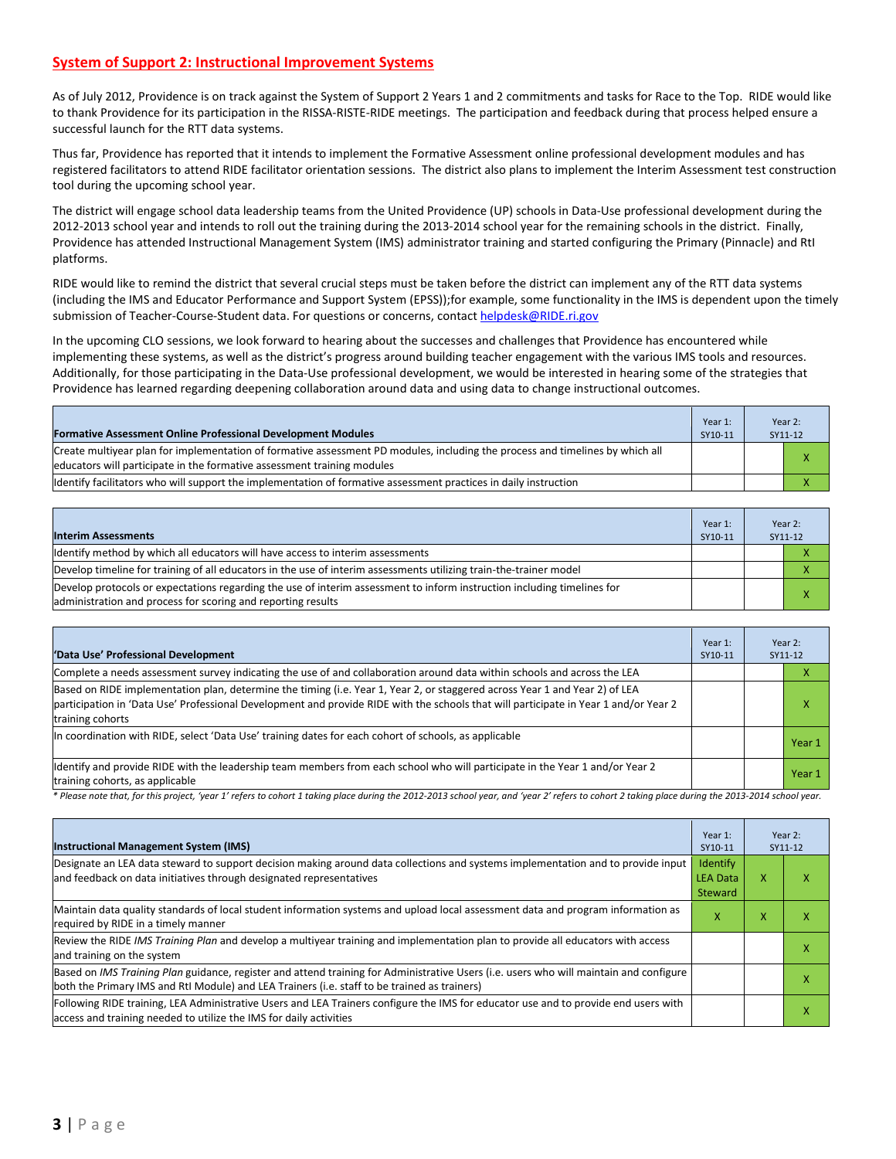### **System of Support 2: Instructional Improvement Systems**

As of July 2012, Providence is on track against the System of Support 2 Years 1 and 2 commitments and tasks for Race to the Top. RIDE would like to thank Providence for its participation in the RISSA-RISTE-RIDE meetings. The participation and feedback during that process helped ensure a successful launch for the RTT data systems.

Thus far, Providence has reported that it intends to implement the Formative Assessment online professional development modules and has registered facilitators to attend RIDE facilitator orientation sessions. The district also plans to implement the Interim Assessment test construction tool during the upcoming school year.

The district will engage school data leadership teams from the United Providence (UP) schools in Data-Use professional development during the 2012-2013 school year and intends to roll out the training during the 2013-2014 school year for the remaining schools in the district. Finally, Providence has attended Instructional Management System (IMS) administrator training and started configuring the Primary (Pinnacle) and RtI platforms.

RIDE would like to remind the district that several crucial steps must be taken before the district can implement any of the RTT data systems (including the IMS and Educator Performance and Support System (EPSS));for example, some functionality in the IMS is dependent upon the timely submission of Teacher-Course-Student data. For questions or concerns, contac[t helpdesk@RIDE.ri.gov](mailto:helpdesk@RIDE.ri.gov)

In the upcoming CLO sessions, we look forward to hearing about the successes and challenges that Providence has encountered while implementing these systems, as well as the district's progress around building teacher engagement with the various IMS tools and resources. Additionally, for those participating in the Data-Use professional development, we would be interested in hearing some of the strategies that Providence has learned regarding deepening collaboration around data and using data to change instructional outcomes.

| <b>Formative Assessment Online Professional Development Modules</b>                                                                                                                                      | Year 1:<br>SY10-11 | Year 2:<br>SY11-12 |
|----------------------------------------------------------------------------------------------------------------------------------------------------------------------------------------------------------|--------------------|--------------------|
| Create multiyear plan for implementation of formative assessment PD modules, including the process and timelines by which all<br>educators will participate in the formative assessment training modules |                    |                    |
| ldentify facilitators who will support the implementation of formative assessment practices in daily instruction                                                                                         |                    |                    |

| <b>Interim Assessments</b>                                                                                                                                                              | Year 1:<br>SY10-11 | Year 2:<br>SY11-12 |
|-----------------------------------------------------------------------------------------------------------------------------------------------------------------------------------------|--------------------|--------------------|
| Identify method by which all educators will have access to interim assessments                                                                                                          |                    |                    |
| Develop timeline for training of all educators in the use of interim assessments utilizing train-the-trainer model                                                                      |                    |                    |
| Develop protocols or expectations regarding the use of interim assessment to inform instruction including timelines for<br>administration and process for scoring and reporting results |                    | x                  |

| 'Data Use' Professional Development                                                                                                                                                                                                                                                     | Year 1:<br>SY10-11 | Year 2:<br>SY11-12 |        |
|-----------------------------------------------------------------------------------------------------------------------------------------------------------------------------------------------------------------------------------------------------------------------------------------|--------------------|--------------------|--------|
| Complete a needs assessment survey indicating the use of and collaboration around data within schools and across the LEA                                                                                                                                                                |                    |                    | л      |
| Based on RIDE implementation plan, determine the timing (i.e. Year 1, Year 2, or staggered across Year 1 and Year 2) of LEA<br>participation in 'Data Use' Professional Development and provide RIDE with the schools that will participate in Year 1 and/or Year 2<br>training cohorts |                    |                    | χ      |
| In coordination with RIDE, select 'Data Use' training dates for each cohort of schools, as applicable                                                                                                                                                                                   |                    |                    | Year 1 |
| ldentify and provide RIDE with the leadership team members from each school who will participate in the Year 1 and/or Year 2<br>training cohorts, as applicable                                                                                                                         |                    |                    | Year 1 |

*\* Please note that, for this project, 'year 1' refers to cohort 1 taking place during the 2012-2013 school year, and 'year 2' refers to cohort 2 taking place during the 2013-2014 school year.*

| <b>Instructional Management System (IMS)</b>                                                                                                                                                                                           | Year 1:<br>SY10-11                     |   | Year 2:<br>SY11-12 |
|----------------------------------------------------------------------------------------------------------------------------------------------------------------------------------------------------------------------------------------|----------------------------------------|---|--------------------|
| Designate an LEA data steward to support decision making around data collections and systems implementation and to provide input<br>and feedback on data initiatives through designated representatives                                | Identify<br><b>LEA Data</b><br>Steward | X | x                  |
| Maintain data quality standards of local student information systems and upload local assessment data and program information as<br>required by RIDE in a timely manner                                                                |                                        | x |                    |
| Review the RIDE IMS Training Plan and develop a multiyear training and implementation plan to provide all educators with access<br>and training on the system                                                                          |                                        |   |                    |
| Based on IMS Training Plan guidance, register and attend training for Administrative Users (i.e. users who will maintain and configure<br>both the Primary IMS and RtI Module) and LEA Trainers (i.e. staff to be trained as trainers) |                                        |   |                    |
| Following RIDE training, LEA Administrative Users and LEA Trainers configure the IMS for educator use and to provide end users with<br>access and training needed to utilize the IMS for daily activities                              |                                        |   | ⋏                  |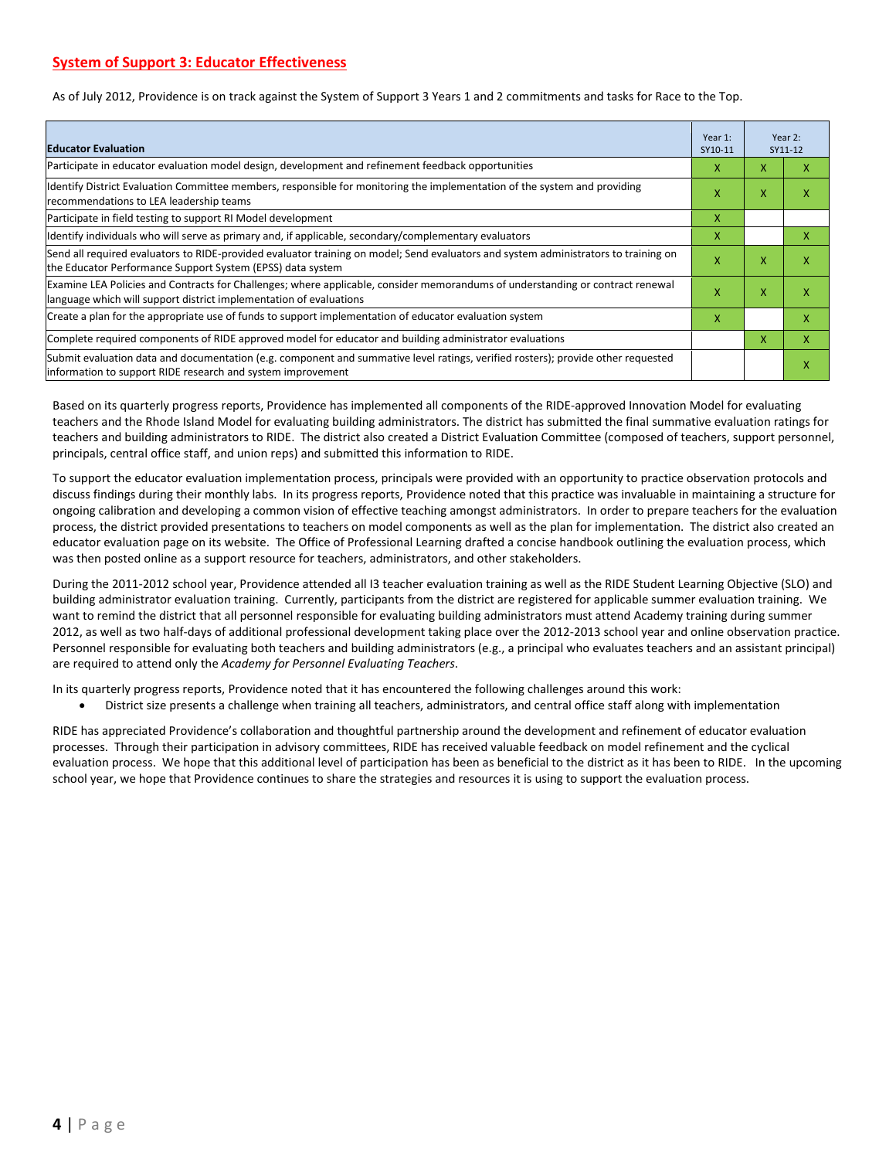As of July 2012, Providence is on track against the System of Support 3 Years 1 and 2 commitments and tasks for Race to the Top.

| <b>Educator Evaluation</b>                                                                                                                                                                           | Year 1:<br>SY10-11 |   | Year 2:<br>SY11-12 |
|------------------------------------------------------------------------------------------------------------------------------------------------------------------------------------------------------|--------------------|---|--------------------|
| Participate in educator evaluation model design, development and refinement feedback opportunities                                                                                                   | x                  | X | ж                  |
| Identify District Evaluation Committee members, responsible for monitoring the implementation of the system and providing<br>recommendations to LEA leadership teams                                 | X                  | X | x                  |
| Participate in field testing to support RI Model development                                                                                                                                         | x                  |   |                    |
| Ildentify individuals who will serve as primary and, if applicable, secondary/complementary evaluators                                                                                               | x                  |   | x                  |
| Send all required evaluators to RIDE-provided evaluator training on model; Send evaluators and system administrators to training on<br>the Educator Performance Support System (EPSS) data system    | x                  | x | x                  |
| Examine LEA Policies and Contracts for Challenges; where applicable, consider memorandums of understanding or contract renewal<br>language which will support district implementation of evaluations | X                  | X | x                  |
| Create a plan for the appropriate use of funds to support implementation of educator evaluation system                                                                                               | X                  |   | x                  |
| Complete required components of RIDE approved model for educator and building administrator evaluations                                                                                              |                    | X | X                  |
| Submit evaluation data and documentation (e.g. component and summative level ratings, verified rosters); provide other requested<br>information to support RIDE research and system improvement      |                    |   | x                  |

Based on its quarterly progress reports, Providence has implemented all components of the RIDE-approved Innovation Model for evaluating teachers and the Rhode Island Model for evaluating building administrators. The district has submitted the final summative evaluation ratings for teachers and building administrators to RIDE. The district also created a District Evaluation Committee (composed of teachers, support personnel, principals, central office staff, and union reps) and submitted this information to RIDE.

To support the educator evaluation implementation process, principals were provided with an opportunity to practice observation protocols and discuss findings during their monthly labs. In its progress reports, Providence noted that this practice was invaluable in maintaining a structure for ongoing calibration and developing a common vision of effective teaching amongst administrators. In order to prepare teachers for the evaluation process, the district provided presentations to teachers on model components as well as the plan for implementation. The district also created an educator evaluation page on its website. The Office of Professional Learning drafted a concise handbook outlining the evaluation process, which was then posted online as a support resource for teachers, administrators, and other stakeholders.

During the 2011-2012 school year, Providence attended all I3 teacher evaluation training as well as the RIDE Student Learning Objective (SLO) and building administrator evaluation training. Currently, participants from the district are registered for applicable summer evaluation training. We want to remind the district that all personnel responsible for evaluating building administrators must attend Academy training during summer 2012, as well as two half-days of additional professional development taking place over the 2012-2013 school year and online observation practice. Personnel responsible for evaluating both teachers and building administrators (e.g., a principal who evaluates teachers and an assistant principal) are required to attend only the *Academy for Personnel Evaluating Teachers*.

In its quarterly progress reports, Providence noted that it has encountered the following challenges around this work:

• District size presents a challenge when training all teachers, administrators, and central office staff along with implementation

RIDE has appreciated Providence's collaboration and thoughtful partnership around the development and refinement of educator evaluation processes. Through their participation in advisory committees, RIDE has received valuable feedback on model refinement and the cyclical evaluation process. We hope that this additional level of participation has been as beneficial to the district as it has been to RIDE. In the upcoming school year, we hope that Providence continues to share the strategies and resources it is using to support the evaluation process.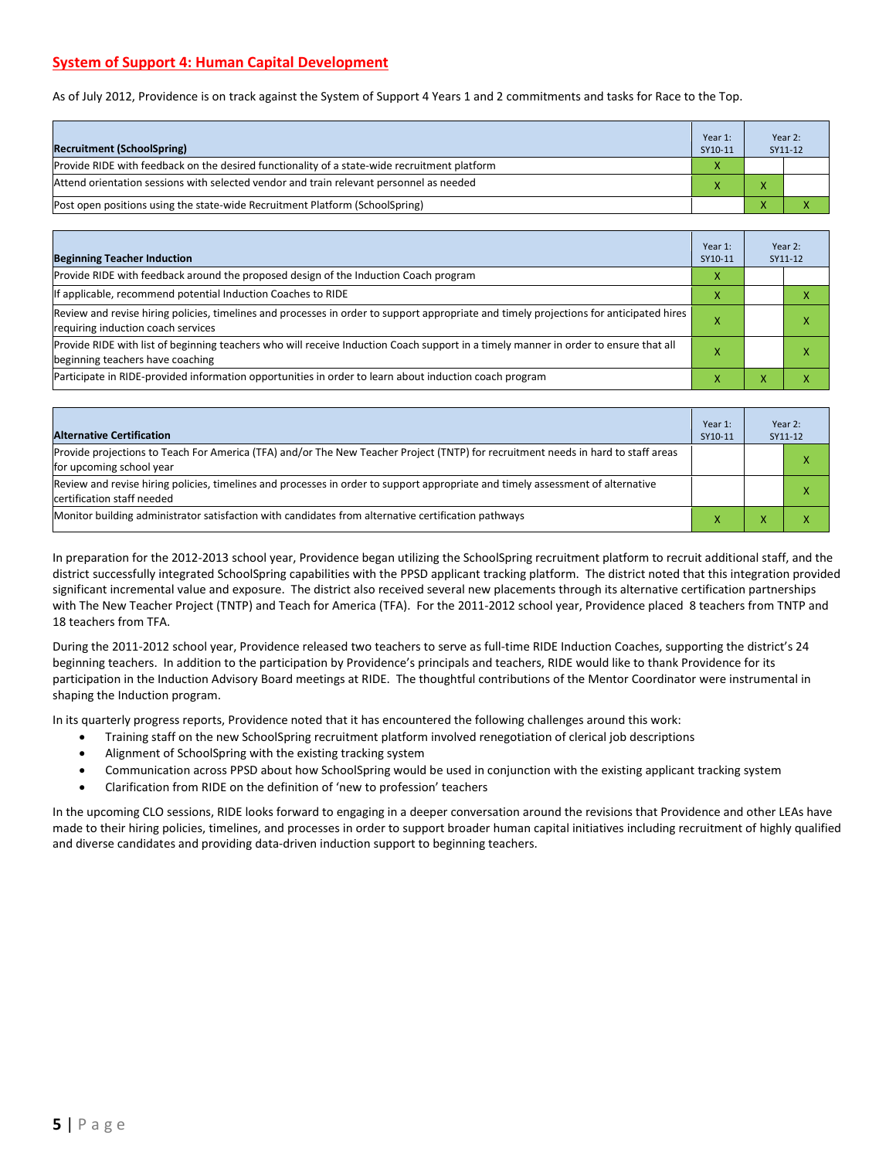# **System of Support 4: Human Capital Development**

As of July 2012, Providence is on track against the System of Support 4 Years 1 and 2 commitments and tasks for Race to the Top.

| <b>Recruitment (SchoolSpring)</b>                                                            | Year 1:<br>SY10-11 | Year 2:<br>SY11-12 |
|----------------------------------------------------------------------------------------------|--------------------|--------------------|
| Provide RIDE with feedback on the desired functionality of a state-wide recruitment platform |                    |                    |
| Attend orientation sessions with selected vendor and train relevant personnel as needed      |                    |                    |
| Post open positions using the state-wide Recruitment Platform (SchoolSpring)                 |                    |                    |

| <b>Beginning Teacher Induction</b>                                                                                                                                            | Year 1:<br>SY10-11 |   | Year 2:<br>SY11-12 |
|-------------------------------------------------------------------------------------------------------------------------------------------------------------------------------|--------------------|---|--------------------|
| Provide RIDE with feedback around the proposed design of the Induction Coach program                                                                                          | x                  |   |                    |
| If applicable, recommend potential Induction Coaches to RIDE                                                                                                                  | x                  |   |                    |
| Review and revise hiring policies, timelines and processes in order to support appropriate and timely projections for anticipated hires<br>requiring induction coach services |                    |   |                    |
| Provide RIDE with list of beginning teachers who will receive Induction Coach support in a timely manner in order to ensure that all<br>beginning teachers have coaching      |                    |   |                    |
| Participate in RIDE-provided information opportunities in order to learn about induction coach program                                                                        |                    | ⋏ |                    |

| <b>Alternative Certification</b>                                                                                                                              | Year 1:<br>SY10-11 | Year 2:<br>SY11-12 |
|---------------------------------------------------------------------------------------------------------------------------------------------------------------|--------------------|--------------------|
| Provide projections to Teach For America (TFA) and/or The New Teacher Project (TNTP) for recruitment needs in hard to staff areas<br>for upcoming school year |                    | $\mathbf v$        |
| Review and revise hiring policies, timelines and processes in order to support appropriate and timely assessment of alternative<br>certification staff needed |                    | $\checkmark$       |
| Monitor building administrator satisfaction with candidates from alternative certification pathways                                                           |                    |                    |

In preparation for the 2012-2013 school year, Providence began utilizing the SchoolSpring recruitment platform to recruit additional staff, and the district successfully integrated SchoolSpring capabilities with the PPSD applicant tracking platform. The district noted that this integration provided significant incremental value and exposure. The district also received several new placements through its alternative certification partnerships with The New Teacher Project (TNTP) and Teach for America (TFA). For the 2011-2012 school year, Providence placed 8 teachers from TNTP and 18 teachers from TFA.

During the 2011-2012 school year, Providence released two teachers to serve as full-time RIDE Induction Coaches, supporting the district's 24 beginning teachers. In addition to the participation by Providence's principals and teachers, RIDE would like to thank Providence for its participation in the Induction Advisory Board meetings at RIDE. The thoughtful contributions of the Mentor Coordinator were instrumental in shaping the Induction program.

In its quarterly progress reports, Providence noted that it has encountered the following challenges around this work:

- Training staff on the new SchoolSpring recruitment platform involved renegotiation of clerical job descriptions
- Alignment of SchoolSpring with the existing tracking system
- Communication across PPSD about how SchoolSpring would be used in conjunction with the existing applicant tracking system
- Clarification from RIDE on the definition of 'new to profession' teachers

In the upcoming CLO sessions, RIDE looks forward to engaging in a deeper conversation around the revisions that Providence and other LEAs have made to their hiring policies, timelines, and processes in order to support broader human capital initiatives including recruitment of highly qualified and diverse candidates and providing data-driven induction support to beginning teachers.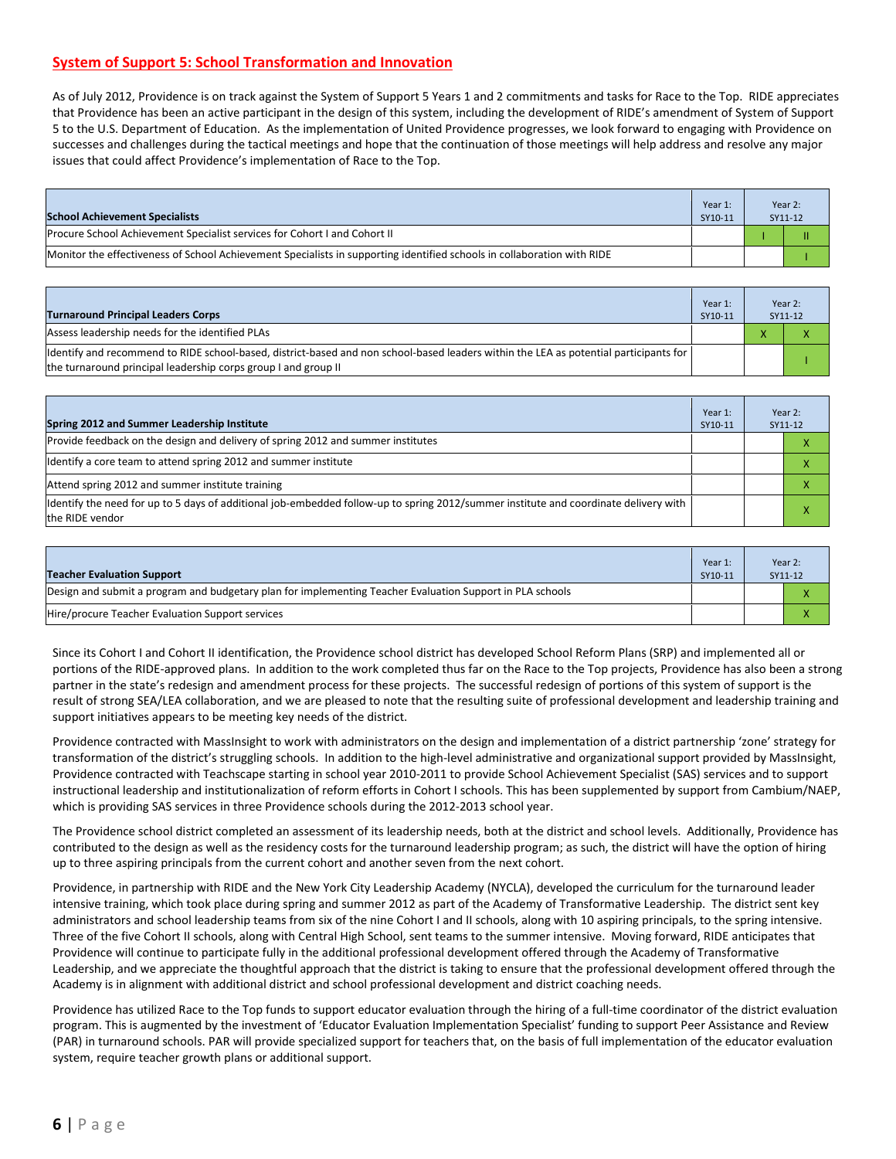# **System of Support 5: School Transformation and Innovation**

As of July 2012, Providence is on track against the System of Support 5 Years 1 and 2 commitments and tasks for Race to the Top. RIDE appreciates that Providence has been an active participant in the design of this system, including the development of RIDE's amendment of System of Support 5 to the U.S. Department of Education. As the implementation of United Providence progresses, we look forward to engaging with Providence on successes and challenges during the tactical meetings and hope that the continuation of those meetings will help address and resolve any major issues that could affect Providence's implementation of Race to the Top.

| <b>School Achievement Specialists</b>                                                                                   | Year 1:<br>SY10-11 | Year 2:<br>SY11-12 |
|-------------------------------------------------------------------------------------------------------------------------|--------------------|--------------------|
| Procure School Achievement Specialist services for Cohort I and Cohort II                                               |                    | Ш                  |
| Monitor the effectiveness of School Achievement Specialists in supporting identified schools in collaboration with RIDE |                    |                    |

| <b>Turnaround Principal Leaders Corps</b>                                                                                                                                                               | Year 1:<br>SY10-11 |              | Year 2:<br>SY11-12 |
|---------------------------------------------------------------------------------------------------------------------------------------------------------------------------------------------------------|--------------------|--------------|--------------------|
| Assess leadership needs for the identified PLAs                                                                                                                                                         |                    | $\mathbf{v}$ |                    |
| ldentify and recommend to RIDE school-based, district-based and non school-based leaders within the LEA as potential participants for<br>the turnaround principal leadership corps group I and group II |                    |              |                    |

| Spring 2012 and Summer Leadership Institute                                                                                                             | Year 1:<br>SY10-11 | Year 2:<br>SY11-12 |  |
|---------------------------------------------------------------------------------------------------------------------------------------------------------|--------------------|--------------------|--|
| Provide feedback on the design and delivery of spring 2012 and summer institutes                                                                        |                    | л                  |  |
| Identify a core team to attend spring 2012 and summer institute                                                                                         |                    | л                  |  |
| Attend spring 2012 and summer institute training                                                                                                        |                    |                    |  |
| ldentify the need for up to 5 days of additional job-embedded follow-up to spring 2012/summer institute and coordinate delivery with<br>the RIDE vendor |                    |                    |  |

| Teacher Evaluation Support                                                                                | Year 1:<br>SY10-11 | Year 2:<br>SY11-12 |
|-----------------------------------------------------------------------------------------------------------|--------------------|--------------------|
| Design and submit a program and budgetary plan for implementing Teacher Evaluation Support in PLA schools |                    |                    |
| Hire/procure Teacher Evaluation Support services                                                          |                    |                    |

Since its Cohort I and Cohort II identification, the Providence school district has developed School Reform Plans (SRP) and implemented all or portions of the RIDE-approved plans. In addition to the work completed thus far on the Race to the Top projects, Providence has also been a strong partner in the state's redesign and amendment process for these projects. The successful redesign of portions of this system of support is the result of strong SEA/LEA collaboration, and we are pleased to note that the resulting suite of professional development and leadership training and support initiatives appears to be meeting key needs of the district.

Providence contracted with MassInsight to work with administrators on the design and implementation of a district partnership 'zone' strategy for transformation of the district's struggling schools. In addition to the high-level administrative and organizational support provided by MassInsight, Providence contracted with Teachscape starting in school year 2010-2011 to provide School Achievement Specialist (SAS) services and to support instructional leadership and institutionalization of reform efforts in Cohort I schools. This has been supplemented by support from Cambium/NAEP, which is providing SAS services in three Providence schools during the 2012-2013 school year.

The Providence school district completed an assessment of its leadership needs, both at the district and school levels. Additionally, Providence has contributed to the design as well as the residency costs for the turnaround leadership program; as such, the district will have the option of hiring up to three aspiring principals from the current cohort and another seven from the next cohort.

Providence, in partnership with RIDE and the New York City Leadership Academy (NYCLA), developed the curriculum for the turnaround leader intensive training, which took place during spring and summer 2012 as part of the Academy of Transformative Leadership. The district sent key administrators and school leadership teams from six of the nine Cohort I and II schools, along with 10 aspiring principals, to the spring intensive. Three of the five Cohort II schools, along with Central High School, sent teams to the summer intensive. Moving forward, RIDE anticipates that Providence will continue to participate fully in the additional professional development offered through the Academy of Transformative Leadership, and we appreciate the thoughtful approach that the district is taking to ensure that the professional development offered through the Academy is in alignment with additional district and school professional development and district coaching needs.

Providence has utilized Race to the Top funds to support educator evaluation through the hiring of a full-time coordinator of the district evaluation program. This is augmented by the investment of 'Educator Evaluation Implementation Specialist' funding to support Peer Assistance and Review (PAR) in turnaround schools. PAR will provide specialized support for teachers that, on the basis of full implementation of the educator evaluation system, require teacher growth plans or additional support.